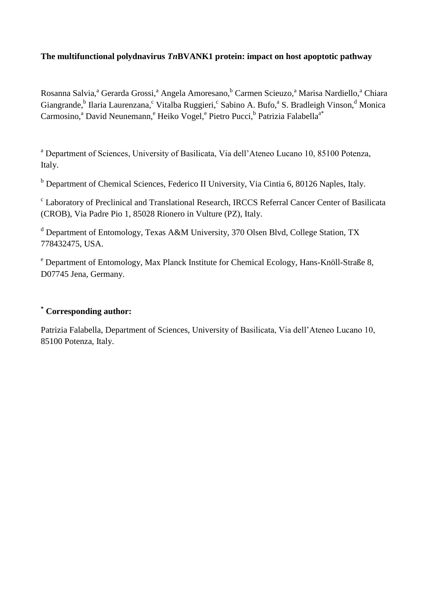## **The multifunctional polydnavirus** *Tn***BVANK1 protein: impact on host apoptotic pathway**

Rosanna Salvia,<sup>a</sup> Gerarda Grossi,<sup>a</sup> Angela Amoresano,<sup>b</sup> Carmen Scieuzo,<sup>a</sup> Marisa Nardiello,<sup>a</sup> Chiara Giangrande,<sup>b</sup> Ilaria Laurenzana,<sup>c</sup> Vitalba Ruggieri,<sup>c</sup> Sabino A. Bufo,<sup>a</sup> S. Bradleigh Vinson,<sup>d</sup> Monica Carmosino,<sup>a</sup> David Neunemann,<sup>e</sup> Heiko Vogel,<sup>e</sup> Pietro Pucci,<sup>b</sup> Patrizia Falabella<sup>a\*</sup>

<sup>a</sup> Department of Sciences, University of Basilicata, Via dell'Ateneo Lucano 10, 85100 Potenza, Italy.

<sup>b</sup> Department of Chemical Sciences, Federico II University, Via Cintia 6, 80126 Naples, Italy.

<sup>c</sup> Laboratory of Preclinical and Translational Research, IRCCS Referral Cancer Center of Basilicata (CROB), Via Padre Pio 1, 85028 Rionero in Vulture (PZ), Italy.

 $d$  Department of Entomology, Texas A&M University, 370 Olsen Blvd, College Station, TX 778432475, USA.

<sup>e</sup> Department of Entomology, Max Planck Institute for Chemical Ecology, Hans-Knöll-Straße 8, D07745 Jena, Germany.

## **\* Corresponding author:**

Patrizia Falabella, Department of Sciences, University of Basilicata, Via dell'Ateneo Lucano 10, 85100 Potenza, Italy.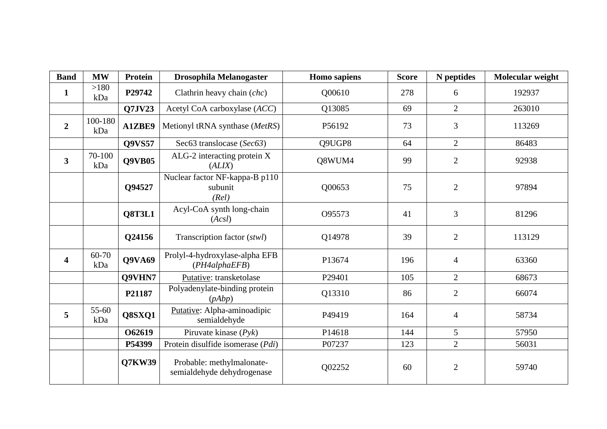| <b>Band</b>             | <b>MW</b>      | Protein       | <b>Drosophila Melanogaster</b>                          | <b>Homo</b> sapiens | <b>Score</b> | N peptides     | Molecular weight |
|-------------------------|----------------|---------------|---------------------------------------------------------|---------------------|--------------|----------------|------------------|
| $\mathbf{1}$            | >180<br>kDa    | P29742        | Clathrin heavy chain (chc)                              | Q00610              | 278          | 6              | 192937           |
|                         |                | Q7JV23        | Acetyl CoA carboxylase (ACC)                            | Q13085              | 69           | $\overline{2}$ | 263010           |
| $\overline{2}$          | 100-180<br>kDa | A1ZBE9        | Metionyl tRNA synthase (MetRS)                          | P56192              | 73           | 3              | 113269           |
|                         |                | Q9VS57        | Sec63 translocase (Sec63)                               | Q9UGP8              | 64           | $\overline{2}$ | 86483            |
| $\mathbf{3}$            | 70-100<br>kDa  | <b>Q9VB05</b> | ALG-2 interacting protein X<br>(ALIX)                   | Q8WUM4              | 99           | $\overline{2}$ | 92938            |
|                         |                | Q94527        | Nuclear factor NF-kappa-B p110<br>subunit<br>(Rel)      | Q00653              | 75           | $\overline{2}$ | 97894            |
|                         |                | Q8T3L1        | Acyl-CoA synth long-chain<br>(Acsl)                     | O95573              | 41           | 3              | 81296            |
|                         |                | Q24156        | Transcription factor (stwl)                             | Q14978              | 39           | $\overline{2}$ | 113129           |
| $\overline{\mathbf{4}}$ | 60-70<br>kDa   | Q9VA69        | Prolyl-4-hydroxylase-alpha EFB<br>(PH4alphaEFB)         | P13674              | 196          | $\overline{4}$ | 63360            |
|                         |                | Q9VHN7        | Putative: transketolase                                 | P29401              | 105          | $\overline{2}$ | 68673            |
|                         |                | P21187        | Polyadenylate-binding protein<br>(pAbp)                 | Q13310              | 86           | $\overline{2}$ | 66074            |
| 5                       | 55-60<br>kDa   | Q8SXQ1        | Putative: Alpha-aminoadipic<br>semialdehyde             | P49419              | 164          | $\overline{4}$ | 58734            |
|                         |                | O62619        | Piruvate kinase $(Pyk)$                                 | P14618              | 144          | 5              | 57950            |
|                         |                | P54399        | Protein disulfide isomerase (Pdi)                       | P07237              | 123          | $\overline{2}$ | 56031            |
|                         |                | Q7KW39        | Probable: methylmalonate-<br>semialdehyde dehydrogenase | Q02252              | 60           | $\mathbf{2}$   | 59740            |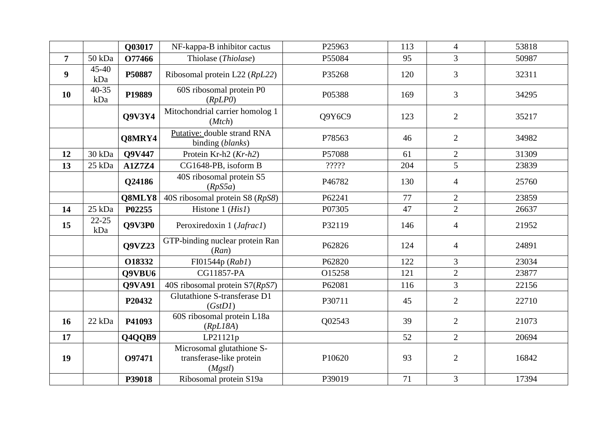|                |                  | Q03017        | NF-kappa-B inhibitor cactus                                      | P25963 | 113 | $\overline{4}$ | 53818 |
|----------------|------------------|---------------|------------------------------------------------------------------|--------|-----|----------------|-------|
| $\overline{7}$ | 50 kDa           | O77466        | Thiolase (Thiolase)                                              | P55084 | 95  | $\overline{3}$ | 50987 |
| 9              | 45-40<br>kDa     | P50887        | Ribosomal protein L22 (RpL22)                                    | P35268 | 120 | 3              | 32311 |
| 10             | $40 - 35$<br>kDa | P19889        | 60S ribosomal protein P0<br>(RpLP0)                              | P05388 | 169 | 3              | 34295 |
|                |                  | <b>Q9V3Y4</b> | Mitochondrial carrier homolog 1<br>(Mtch)                        | Q9Y6C9 | 123 | $\overline{2}$ | 35217 |
|                |                  | Q8MRY4        | Putative: double strand RNA<br>binding (blanks)                  | P78563 | 46  | 2              | 34982 |
| 12             | 30 kDa           | Q9V447        | Protein Kr-h2 (Kr-h2)                                            | P57088 | 61  | $\overline{2}$ | 31309 |
| 13             | 25 kDa           | <b>A1Z7Z4</b> | CG1648-PB, isoform B                                             | ?????  | 204 | 5              | 23839 |
|                |                  | Q24186        | 40S ribosomal protein S5<br>(RpS5a)                              | P46782 | 130 | $\overline{4}$ | 25760 |
|                |                  | Q8MLY8        | 40S ribosomal protein S8 (RpS8)                                  | P62241 | 77  | 2              | 23859 |
| 14             | 25 kDa           | P02255        | Histone $1$ ( <i>His1</i> )                                      | P07305 | 47  | $\overline{2}$ | 26637 |
| 15             | $22 - 25$<br>kDa | Q9V3P0        | Peroxiredoxin 1 (Jafrac1)                                        | P32119 | 146 | $\overline{4}$ | 21952 |
|                |                  | Q9VZ23        | GTP-binding nuclear protein Ran<br>(Ran)                         | P62826 | 124 | $\overline{4}$ | 24891 |
|                |                  | O18332        | FI01544p (Rab1)                                                  | P62820 | 122 | $\overline{3}$ | 23034 |
|                |                  | Q9VBU6        | CG11857-PA                                                       | O15258 | 121 | $\overline{2}$ | 23877 |
|                |                  | Q9VA91        | 40S ribosomal protein S7(RpS7)                                   | P62081 | 116 | $\overline{3}$ | 22156 |
|                |                  | P20432        | Glutathione S-transferase D1<br>(GstD1)                          | P30711 | 45  | $\overline{2}$ | 22710 |
| 16             | 22 kDa           | P41093        | 60S ribosomal protein L18a<br>(RpL18A)                           | Q02543 | 39  | 2              | 21073 |
| 17             |                  | Q4QQB9        | LP21121p                                                         |        | 52  | 2              | 20694 |
| 19             |                  | O97471        | Microsomal glutathione S-<br>transferase-like protein<br>(Mgstl) | P10620 | 93  | $\overline{2}$ | 16842 |
|                |                  | P39018        | Ribosomal protein S19a                                           | P39019 | 71  | $\overline{3}$ | 17394 |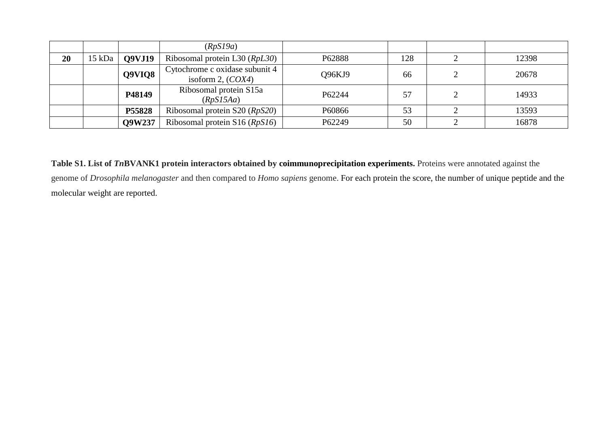|    |        |               | (RpS19a)                                              |        |     |       |
|----|--------|---------------|-------------------------------------------------------|--------|-----|-------|
| 20 | 15 kDa | <b>Q9VJ19</b> | Ribosomal protein L30 (RpL30)                         | P62888 | 128 | 12398 |
|    |        | Q9VIQ8        | Cytochrome c oxidase subunit 4<br>isoform 2, $(COX4)$ | Q96KJ9 | 66  | 20678 |
|    |        | P48149        | Ribosomal protein S15a<br>(RpS15Aa)                   | P62244 | 57  | 14933 |
|    |        | P55828        | Ribosomal protein S20 (RpS20)                         | P60866 | 53  | 13593 |
|    |        | Q9W237        | Ribosomal protein $S16 (RpS16)$                       | P62249 | 50  | 16878 |

**Table S1. List of** *Tn***BVANK1 protein interactors obtained by coimmunoprecipitation experiments.** Proteins were annotated against the genome of *Drosophila melanogaster* and then compared to *Homo sapiens* genome. For each protein the score, the number of unique peptide and the molecular weight are reported.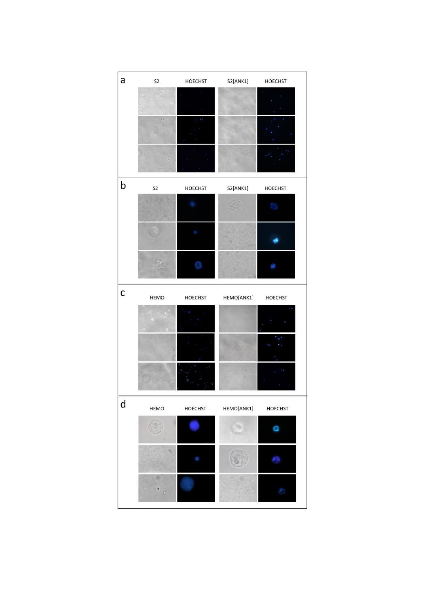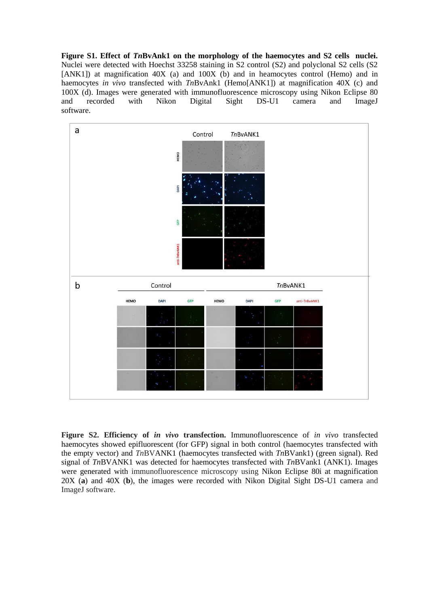**Figure S1. Effect of** *Tn***BvAnk1 on the morphology of the haemocytes and S2 cells nuclei.** Nuclei were detected with Hoechst 33258 staining in S2 control (S2) and polyclonal S2 cells (S2 [ANK1]) at magnification 40X (a) and 100X (b) and in heamocytes control (Hemo) and in haemocytes *in vivo* transfected with *Tn*BvAnk1 (Hemo[ANK1]) at magnification 40X (c) and 100X (d). Images were generated with immunofluorescence microscopy using Nikon Eclipse 80 and recorded with Nikon Digital Sight DS-U1 camera and ImageJ software.



**Figure S2. Efficiency of** *in vivo* **transfection.** Immunofluorescence of *in vivo* transfected haemocytes showed epifluorescent (for GFP) signal in both control (haemocytes transfected with the empty vector) and *Tn*BVANK1 (haemocytes transfected with *Tn*BVank1) (green signal). Red signal of *Tn*BVANK1 was detected for haemocytes transfected with *Tn*BVank1 (ANK1). Images were generated with immunofluorescence microscopy using Nikon Eclipse 80i at magnification 20X (**a**) and 40X (**b**), the images were recorded with Nikon Digital Sight DS-U1 camera and ImageJ software.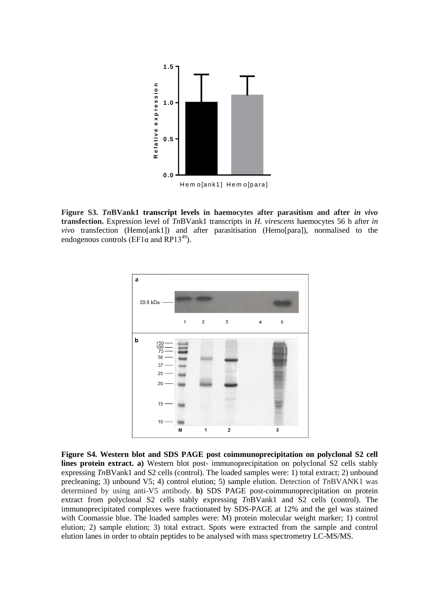

**Figure S3.** *Tn***BVank1 transcript levels in haemocytes after parasitism and after** *in vivo* **transfection.** Expression level of *Tn*BVank1 transcripts in *H. virescens* haemocytes 56 h after *in vivo* transfection (Hemo[ank1]) and after parasitisation (Hemo[para]), normalised to the endogenous controls (EF1 $\alpha$  and RP13<sup>49</sup>).



**Figure S4. Western blot and SDS PAGE post coimmunoprecipitation on polyclonal S2 cell lines protein extract. a)** Western blot post- immunoprecipitation on polyclonal S2 cells stably expressing *Tn*BVank1 and S2 cells (control). The loaded samples were: 1) total extract; 2) unbound precleaning; 3) unbound V5; 4) control elution; 5) sample elution. Detection of *Tn*BVANK1 was determined by using anti-V5 antibody. **b)** SDS PAGE post-coimmunoprecipitation on protein extract from polyclonal S2 cells stably expressing *Tn*BVank1 and S2 cells (control). The immunoprecipitated complexes were fractionated by SDS-PAGE at 12% and the gel was stained with Coomassie blue. The loaded samples were: M) protein molecular weight marker; 1) control elution; 2) sample elution; 3) total extract. Spots were extracted from the sample and control elution lanes in order to obtain peptides to be analysed with mass spectrometry LC-MS/MS.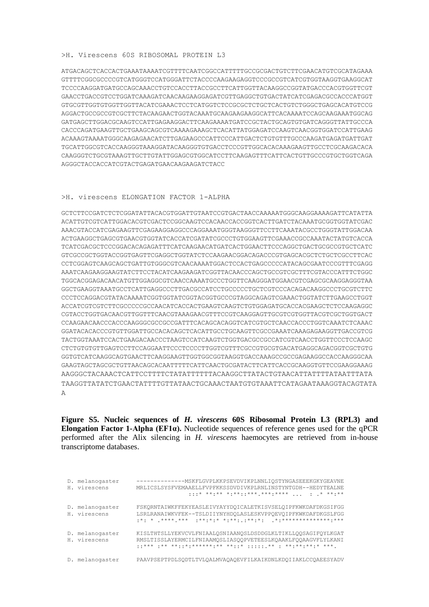## >H. Virescens 60S RIBOSOMAL PROTEIN L3

ATGACAGCTCACCACTGAAATAAAATCGTTTTCAATCGGCCATTTTTGCCGCGACTGTCTTCGAACATGTCGCATAGAAA GTTTTCGGCGCCCCGTCATGGGTCCATGGGATTCTACCCCAAGAAGAGGTCCCGCCGTCATCGTGGTAAGGTGAAGGCAT TCCCCAAGGATGATGCCAGCAAACCTGTCCACCTTACCGCCTTCATTGGTTACAAGGCCGGTATGACCCACGTGGTTCGT GAACCTGACCGTCCTGGATCAAAGATCAACAAGAAGGAGATCGTTGAGGCTGTGACTATCATCGAGACGCCACCCATGGT GTGCGTTGGTGTGGTTGGTTACATCGAAACTCCTCATGGTCTCCGCGCTCTGCTCACTGTCTGGGCTGAGCACATGTCCG AGGACTGCCGCCGTCGCTTCTACAAGAACTGGTACAAATGCAAGAAGAAGGCATTCACAAAATCCAGCAAGAAATGGCAG GATGAGCTTGGACGCAAGTCCATTGAGAAGGACTTCAAGAAAATGATCCGCTACTGCAGTGTGATCAGGGTTATTGCCCA CACCCAGATGAAGTTGCTGAAGCAGCGTCAAAAGAAAGCTCACATTATGGAGATCCAAGTCAACGGTGGATCCATTGAAG ACAAAGTAAAATGGGCAAGAGAACATCTTGAGAAGCCCATTCCCATTGACTCTGTGTTTGCCCAAGATGAGATGATTGAT TGCATTGGCGTCACCAAGGGTAAAGGATACAAGGGTGTGACCTCCCGTTGGCACACAAAGAAGTTGCCTCGCAAGACACA CAAGGGTCTGCGTAAAGTTGCTTGTATTGGAGCGTGGCATCCTTCAAGAGTTTCATTCACTGTTGCCCGTGCTGGTCAGA AGGGCTACCACCATCGTACTGAGATGAACAAGAAGATCTACC

## >H. virescens ELONGATION FACTOR 1-ALPHA

GCTCTTTCCGATCTCTCGGATATTACACGTGGATTGTAATCCGTGACTAAAAAAAGGAAAAGGAAAAGATTCATATTA ACATTGTCGTCATTGGACACGTCGACTCCGGCAAGTCCACAACCACCGGTCACTTGATCTACAAATGCGGTGGTATCGAC AAACGTACCATCGAGAAGTTCGAGAAGGAGGCCCAGGAAATGGGTAAGGGTTCCTTCAAATACGCCTGGGTATTGGACAA ACTGAAGGCTGAGCGTGAACGTGGTATCACCATCGATATCGCCCTGTGGAAGTTCGAAACCGCCAAATACTATGTCACCA TCATCGACGCTCCCGGACACAGAGATTTCATCAAGAACATGATCACTGGAACTTCCCAGGCTGACTGCGCCGTGCTCATC GTCGCCGCTGGTACCGGTGAGTTCGAGGCTGGTATCTCCAAGAACGGACAGACCCGTGAGCACGCTCTGCTCGCCTTCAC CCTCGGAGTCAAGCAGCTGATTGTGGGCGTCAACAAAATGGACTCCACTGAGCCCCCATACAGCGAATCCCGTTTCGAGG AAATCAAGAAGGAAGTATCTTCCTACATCAAGAAGATCGGTTACAACCCAGCTGCCGTCGCTTTCGTACCCATTTCTGGC TGGCACGGAGACAACATGTTGGAGGCGTCAACCAAAATGCCCTGGTTCAAGGGATGGAACGTCGAGCGCAAGGAGGGTAA GGCTGAAGGTAAATGCCTCATTGAGGCCCTTGACGCCATCCTGCCCCCTGCTCGTCCCACAGACAAGGCCCTGCGTCTTC CCCTCCAGGACGTATACAAAATCGGTGGTATCGGTACGGTGCCCGTAGGCAGAGTCGAAACTGGTATCTTGAAGCCTGGT ACCATCGTCGTCTTCGCCCCCGCCAACATCACCACTGAAGTCAAGTCTGTGGAGATGCACCACGAAGCTCTCCAAGAGGC CGTACCTGGTGACAACATTGGTTTCAACGTAAAAGAACGTTTCCGTCAAGGAGTTGCGTCGTCGTTAACGTCGTGGTGACT CCAAGAACAACCCACCCAAGGGCGCCGCCGATTTCACAGCACAGGTCATCGTGCTCAACCACCCTGGTCAAATCTCAAAC GGATACACACCCGTGTTGGATTGCCACACAGCTCACATTGCCTGCAAGTTCGCCGAAATCAAAGAGAAGGTTGACCGTCG TACTGGTAAATCCACTGAAGACAACCCTAAGTCCATCAAGTCTGGTGACGCCGCCATCGTCAACCTGGTTCCCTCCAAGC CTCTGTGTGTTGAGTCCTTCCAGGAATTCCCTCCCCTTGGTCGTTTCGCCGTGCGTGACATGAGGCAGACGGTCGCTGTG GGTGTCATCAAGGCAGTGAACTTCAAGGAAGTTGGTGGCGGTAAGGTGACCAAAGCCGCCGAGAAGGCCACCAAGGGCAA GAAGTAGCTAGCGCTGTTAACAGCACAATTTTTCATTCAACTGCGATACTTCATTCACCGCAAGGTGTTCCGAAGGAAAG AAGGGCTACAAACTCATTCCTTTTCTATATTTTTTACAAGGCTTATACTGTAACATTATTTTATAATTTATA TAAGGTTATATCTGAACTATTTTGTTATAACTGCAAACTAATGTGTAAATTCATAGAATAAAGGTACAGTATA A

**Figure S5. Nucleic sequences of** *H. virescens* **60S Ribosomal Protein L3 (RPL3) and Elongation Factor 1-Alpha (EF1α).** Nucleotide sequences of reference genes used for the qPCR performed after the Alix silencing in *H. virescens* haemocytes are retrieved from in-house transcriptome databases.

| D. melanogaster<br>H. virescens | MRLICSLSYSFVEMAAELLFVPFKKSSDVDIVKPLRNLINSTYNTGDH--HEDYTEALNE<br>$\frac{1}{1}$ $\frac{1}{1}$ $\frac{1}{1}$ $\frac{1}{1}$ $\frac{1}{1}$ $\frac{1}{1}$ $\frac{1}{1}$ $\frac{1}{1}$ $\frac{1}{1}$ $\frac{1}{1}$ $\frac{1}{1}$ $\frac{1}{1}$ $\frac{1}{1}$ $\frac{1}{1}$ $\frac{1}{1}$ $\frac{1}{1}$ $\frac{1}{1}$ $\frac{1}{1}$ $\frac{1}{1}$ $\frac{1}{1}$ $\frac{1}{1}$ $\frac{1}{1}$ |
|---------------------------------|-------------------------------------------------------------------------------------------------------------------------------------------------------------------------------------------------------------------------------------------------------------------------------------------------------------------------------------------------------------------------------------|
| D. melanogaster<br>H. virescens | FSKORNTAIWKFFEKYEASLEIVYAYYDOICALETKISVSELOIPFKWKDAFDKGSIFGG<br>LSRLRANAIWKVFEK--TSLDIIYNYHDOLASLESKVPPOEVOIPFKWKDAFDKGSLFGG                                                                                                                                                                                                                                                        |
| D. melanogaster<br>H. virescens | KISLTHTSLLYEKVCVLFNIAALOSNIAANOSLDSDDGLKLTIKLLOOSAGIFOYLKGAT<br>RMSLTISSLAYERMCILFNIAAMOSLIASOOPVETEESLKOAAKLFOOAAGVFLYLKANI<br>*** .** **:*:******.** **:* ** . ****.**.* ***.                                                                                                                                                                                                     |
| D. melanogaster                 | PAAVPSEPTPDLSODTLTVLOALMVAOAOEVFILKAIKDNLKDOIIAKLCCOAEESYADV                                                                                                                                                                                                                                                                                                                        |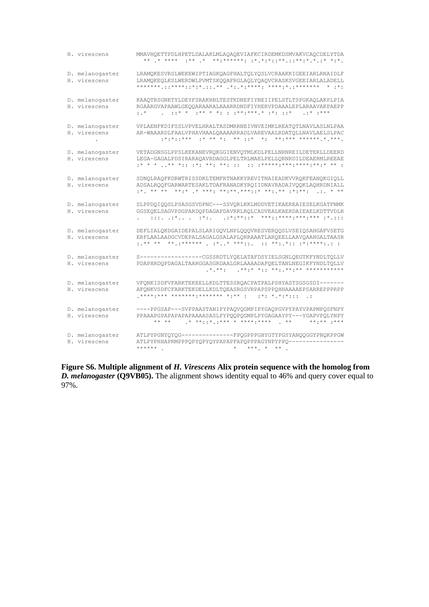| H. virescens                    | MMAVHQETTPDLHPETLDALAKLMLAQAQEVIAFKCIRDEMKDSMVAKVCAQCDELYTDA                                                                                                                                                                                                                                                                                                                                                                                                                                                                    |
|---------------------------------|---------------------------------------------------------------------------------------------------------------------------------------------------------------------------------------------------------------------------------------------------------------------------------------------------------------------------------------------------------------------------------------------------------------------------------------------------------------------------------------------------------------------------------|
| D. melanogaster<br>H. virescens | LRAMQKESVRSLWEKEWIPTIAGKQAGFHALTQLYQSLVCRAAKKIGEEIARLRNAIDLF<br>LRAMQKEQLKSLWERDWLPVMTSKQQAFRGLAQLYQAQVCRASKSVGEEIARLALADELL                                                                                                                                                                                                                                                                                                                                                                                                    |
| D. melanogaster<br>H. virescens | KAAQTRSGNETYLDEYFSRAKRNLTESTKDNEFIYNEIIPELSTLTSPGKAQLAKPLPIA<br>RGAARGVAPAAWLGEQQARAARALAAARRDNDFIYHERVPDAAALEPLARAAVAKPAEPP<br>$. : * : * * * *$<br>$:$ . *                                                                                                                                                                                                                                                                                                                                                                    |
| D. melanogaster<br>H. virescens | VPLAENFKDIFSSLVPVELHRALTASDMRRNEIVNVEIMKLREATQTLNAVLASLNLPAA<br>AR-WAAARDLFAALVPHAVHAALQAAAARRADLVAREVAALRDATQLLNAVLAELSLPAC<br>$x^*$ $x^*$ $x^*$ $x^*$ $x^*$ $x^*$ $x^*$ $x^*$ $x^*$ $x^*$ $x^*$ $x^*$ $x^*$ $x^*$ $x^*$ $x^*$ $x^*$ $x^*$ $x^*$ $x^*$ $x^*$ $x^*$ $x^*$ $x^*$ $x^*$ $x^*$ $x^*$ $x^*$ $x^*$ $x^*$ $x^*$ $x^*$ $x^*$ $x^*$ $x^*$ $x^*$ $x^*$                                                                                                                                                                   |
| D. melanogaster<br>H. virescens | VETADGNSGLPPSLKEKANEVRQKGGIENVQTMLKDLPELLNRNREILDETERLLDEERD<br>LEGA-GAGALPDSIRARAOAVRDAGGLPELTRLMAELPELLORNRDILDEAERMLREEAE                                                                                                                                                                                                                                                                                                                                                                                                    |
| D. melanogaster<br>H. virescens | SDNQLRAQFKDRWTRISSDKLTEMFRTNAKKYREVITNAIEADKVVRQKFEANQKGIQLL<br>ADSALRQQFGARWARTESAKLTDAFRANADKYRQIIDNAVRADAIVQQKLAQHRDNIALL<br>$\pm \star$ , $\star \star$ $\star \star$ , $\star$ $\star$ , $\star$ $\star \star$ , $\star \star$ , $\star \star$ , $\star$ $\star$ , $\star$ , $\star$ , $\star$ , $\star$ , $\star$ , $\star$ , $\star$ , $\star$ , $\star$ , $\star$ , $\star$ , $\star$ , $\star$ , $\star$ , $\star$ , $\star$ , $\star$ , $\star$ , $\star$ , $\star$ , $\star$ , $\star$ , $\star$ , $\star$ , $\star$ |
| D. melanogaster<br>H. virescens | SLPPDQIQQSLPSASGSVDPNC---SSVQRLKKLMDDVETIKAEREAIESELKGATFNMK<br>GGSEQELSAGVPDGPARDQPDAGAPDAVRRLRQLCADVEALKAERDAIEAELKDTTVDLR<br>$1. \t1111. \t111. \t111. \t111. \t111. \t111. \t111. \t111. \t111. \t111. \t111. \t111. \t111. \t111. \t111. \t111. \t111. \t111. \t111. \t111. \t111. \t111. \t111. \t111. \t111. \t111. \t111. \t111. \t111. \t111. \t111. \t111. \t111. \t111. \t111. \t111. \$                                                                                                                             |
| D. melanogaster<br>H. virescens | DEFLIALQKDGAIDEPALSLARIGQVLNPLQQQVRESVERQQSLVSEIQSAHGAFVSETG<br>ERFLAALAADGCVDEPALSAGALGSALAPLQRRAAATLARQEELLAAVQAAHGALTAASR<br>** ** ** .******* * * ***::. :: **:.*:: :*:****:.: :                                                                                                                                                                                                                                                                                                                                            |
| D. melanogaster<br>H. virescens | S------------------CGSSRDTLYQELATAFDSYIELSGNLQEGTKFYNDLTQLLV<br>PDAPXRDQPDAGALTAARGGASGRDAALGRLAAAADAFQELTANLNEGIKFYNDLTQLLV                                                                                                                                                                                                                                                                                                                                                                                                    |
| D. melanogaster<br>H. virescens | VFQNKISDFVFARKTEKEELLKDLTTESSRQACPATPALPSHYASTSGSGSDI-------<br>AFONKVSDFCFARKTEKDELLKDLTOEASRGSVRPAPSPPOHHAAAAEPSARREPPPRPP                                                                                                                                                                                                                                                                                                                                                                                                    |
| D. melanogaster<br>H. virescens | ----PPGSAP---SVPPAASTANIPYPAQVQGMPIPYGAQPGVPYPAYVPAPMPQSFNPY<br>PPAAAPGPAPAPAPAPAAAASASLPYPQQPQGMPLPYGAGAAYPY---YGAPVPQLYNPY                                                                                                                                                                                                                                                                                                                                                                                                    |
| D. melanogaster<br>H. virescens | ATLPYPGNYQYQG--------------FPQGPPPGHYGTYPGSYANQQGGYPNQKPPGW<br>ATLPYPHHAPRMPPPQPYQPYQYPAPAPFAPQPPPAGYNPYPPQ---------------<br>$******$ .                                                                                                                                                                                                                                                                                                                                                                                        |

Figure S6. Multiple alignment of  $H$ . Virescens Alix protein sequence with the homolog from  $D$ . melanogaster (Q9VB05). The alignment shows identity equal to 46% and query cover equal to 97%.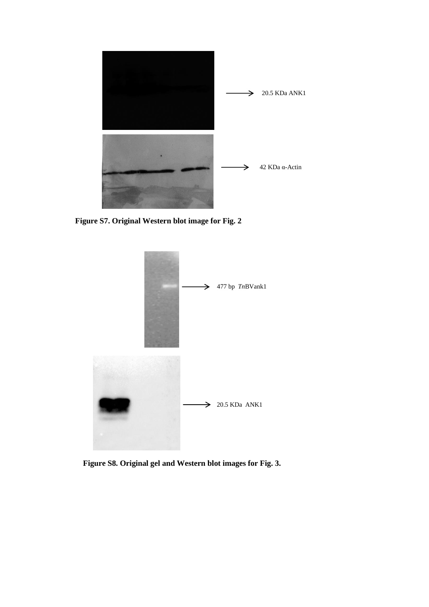

 **Figure S7. Original Western blot image for Fig. 2**



 **Figure S8. Original gel and Western blot images for Fig. 3.**